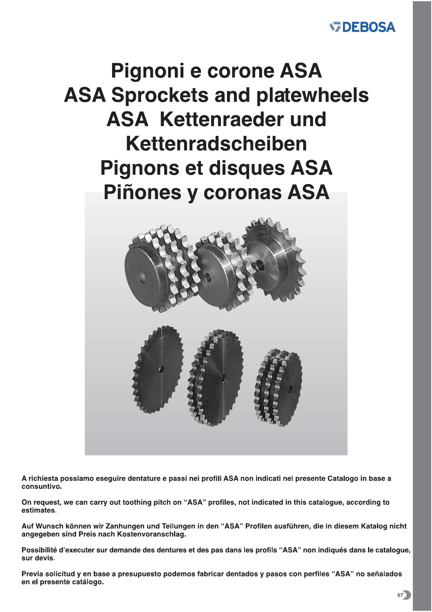# **WDEBOSA**

# **Pignoni e corone ASA ASA Sprockets and platewheels ASA Kettenraeder und** Kettenradscheiben **Pignons et disques ASA** Piñones y coronas ASA



A richiesta possiamo eseguire dentature e passi nei profili ASA non indicati nel presente Catalogo in base a consuntivo.

On request, we can carry out toothing pitch on "ASA" profiles, not indicated in this catalogue, according to estimates.

Auf Wunsch können wir Zanhungen und Teilungen in den "ASA" Profilen ausführen, die in diesem Katalog nicht angegeben sind Preis nach Kostenvoranschlag.

Possibilité d'executer sur demande des dentures et des pas dans les profils "ASA" non indiqués dans le cataloque, sur devis.

Previa solicitud y en base a presupuesto podemos fabricar dentados y pasos con perfiles "ASA" no señalados en el presente catálogo.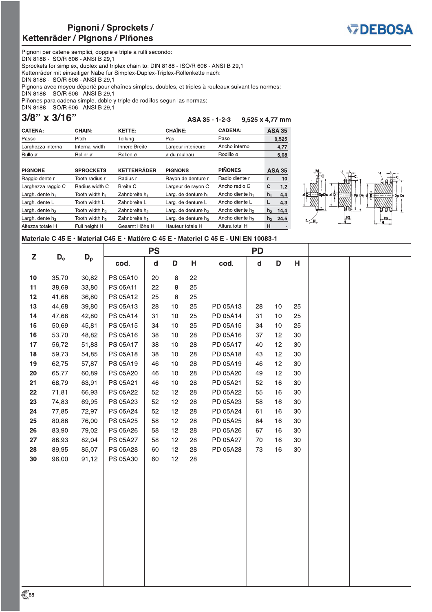Tooth width h<sub>3</sub>

Full height H



Pignoni per catene semplici, doppie e triple a rulli secondo: DIN 8188 - ISO/R 606 - ANSI B 29,1 Sprockets for simplex, duplex and triplex chain to: DIN 8188 - ISO/R 606 - ANSI B 29,1 Kettenräder mit einseitiger Nabe fur Simplex-Duplex-Triplex-Rollenkette nach: DIN 8188 - ISO/R 606 - ANSI B 29.1 Pignons avec moyeu déporté pour chaînes simples, doubles, et triples à rouleaux suivant les normes: DIN 8188 - ISO/R 606 - ANSI B 29,1 Piñones para cadena simple, doble y triple de rodillos segun las normas: DIN 8188 - ISO/R 606 - ANSI B 29,1

3/8" x 3/16"

Largh. dente  $h_3$ 

Altezza totale H

#### ASA 35 - 1-2-3 9,525 x 4,77 mm

Ancho diente h<sub>3</sub>

Altura total H

 $h_3$  $24,5$ 

 $\,$  H

| <b>CATENA:</b>              | CHAIN:                     | <b>KETTE:</b>      | <b>CHAÎNE:</b>                  | <b>CADENA:</b>              |                | <b>ASA 35</b> |
|-----------------------------|----------------------------|--------------------|---------------------------------|-----------------------------|----------------|---------------|
| Passo                       | Pitch                      | Teilung            | Pas                             | Paso                        |                | 9,525         |
| Larghezza interna           | Internal width             | Innere Breite      | Largeur interieure              | Ancho interno               |                | 4,77          |
| Rullo ø                     | Roller ø                   | Rollen ø           | ø du rouleau                    | Rodillo ø                   |                | 5,08          |
|                             |                            |                    |                                 |                             |                |               |
| <b>PIGNONE</b>              | <b>SPROCKETS</b>           | <b>KETTENRÄDER</b> | <b>PIGNONS</b>                  | <b>PIÑONES</b>              |                | <b>ASA 35</b> |
| Raggio dente r              | Tooth radius r             | Radius r           | Rayon de denture r              | Radio diente r              | r              | 10            |
| Larghezza raggio C          | Radius width C             | Breite C           | Largeur de rayon C              | Ancho radio C               | c              | 1,2           |
| Largh. dente $h_1$          | Tooth width h <sub>1</sub> | Zahnbreite $h_1$   | Larg. de denture h <sub>1</sub> | Ancho diente h <sub>1</sub> | $h_1$          | 4,4           |
| Largh. dente L              | Tooth width L              | Zahnbreite L       | Larg. de denture L              | Ancho diente L              | L              | 4,3           |
| Largh. dente h <sub>2</sub> | Tooth width h <sub>2</sub> | Zahnbreite $h_2$   | Larg. de denture h <sub>2</sub> | Ancho diente h <sub>2</sub> | h <sub>2</sub> | 14.4          |

Larg. de denture  $h_3$ 

Hauteur totale H



#### Materiale C 45 E · Material C45 E · Matière C 45 E · Materiel C 45 E - UNI EN 10083-1

Zahnbreite  $h_3$ 

Gesamt Höhe H

|                 |                           |       |          | <b>PS</b>   |         |    |          | <b>PD</b>   |    |        |  |
|-----------------|---------------------------|-------|----------|-------------|---------|----|----------|-------------|----|--------|--|
| Z               | $\mathsf{D}_{\mathrm{e}}$ | $D_p$ | cod.     | $\mathbf d$ | D       | н  | cod.     | $\mathbf d$ | D  | н      |  |
| 10 <sub>1</sub> | 35,70                     | 30,82 | PS 05A10 | 20          | $\,8\,$ | 22 |          |             |    |        |  |
| 11              | 38,69                     | 33,80 | PS 05A11 | 22          | 8       | 25 |          |             |    |        |  |
| 12              | 41,68                     | 36,80 | PS 05A12 | 25          | 8       | 25 |          |             |    |        |  |
| 13              | 44,68                     | 39,80 | PS 05A13 | 28          | 10      | 25 | PD 05A13 | 28          | 10 | 25     |  |
| 14              | 47,68                     | 42,80 | PS 05A14 | 31          | 10      | 25 | PD 05A14 | 31          | 10 | 25     |  |
| 15              | 50,69                     | 45,81 | PS 05A15 | 34          | 10      | 25 | PD 05A15 | 34          | 10 | 25     |  |
| 16              | 53,70                     | 48,82 | PS 05A16 | 38          | 10      | 28 | PD 05A16 | 37          | 12 | 30     |  |
| 17              | 56,72                     | 51,83 | PS 05A17 | 38          | 10      | 28 | PD 05A17 | 40          | 12 | $30\,$ |  |
| 18              | 59,73                     | 54,85 | PS 05A18 | 38          | 10      | 28 | PD 05A18 | 43          | 12 | 30     |  |
| 19              | 62,75                     | 57,87 | PS 05A19 | 46          | 10      | 28 | PD 05A19 | 46          | 12 | $30\,$ |  |
| 20              | 65,77                     | 60,89 | PS 05A20 | 46          | 10      | 28 | PD 05A20 | 49          | 12 | 30     |  |
| 21              | 68,79                     | 63,91 | PS 05A21 | 46          | $10$    | 28 | PD 05A21 | 52          | 16 | $30\,$ |  |
| 22              | 71,81                     | 66,93 | PS 05A22 | 52          | 12      | 28 | PD 05A22 | 55          | 16 | 30     |  |
| 23              | 74,83                     | 69,95 | PS 05A23 | 52          | 12      | 28 | PD 05A23 | 58          | 16 | $30\,$ |  |
| 24              | 77,85                     | 72,97 | PS 05A24 | 52          | 12      | 28 | PD 05A24 | 61          | 16 | 30     |  |
| 25              | 80,88                     | 76,00 | PS 05A25 | 58          | 12      | 28 | PD 05A25 | 64          | 16 | 30     |  |
| 26              | 83,90                     | 79,02 | PS 05A26 | 58          | 12      | 28 | PD 05A26 | 67          | 16 | 30     |  |
| 27              | 86,93                     | 82,04 | PS 05A27 | 58          | 12      | 28 | PD 05A27 | 70          | 16 | $30\,$ |  |
| 28              | 89,95                     | 85,07 | PS 05A28 | 60          | 12      | 28 | PD 05A28 | 73          | 16 | 30     |  |
| 30              | 96,00                     | 91,12 | PS 05A30 | 60          | 12      | 28 |          |             |    |        |  |
|                 |                           |       |          |             |         |    |          |             |    |        |  |
|                 |                           |       |          |             |         |    |          |             |    |        |  |
|                 |                           |       |          |             |         |    |          |             |    |        |  |
|                 |                           |       |          |             |         |    |          |             |    |        |  |
|                 |                           |       |          |             |         |    |          |             |    |        |  |
|                 |                           |       |          |             |         |    |          |             |    |        |  |
|                 |                           |       |          |             |         |    |          |             |    |        |  |
|                 |                           |       |          |             |         |    |          |             |    |        |  |
|                 |                           |       |          |             |         |    |          |             |    |        |  |
|                 |                           |       |          |             |         |    |          |             |    |        |  |
|                 |                           |       |          |             |         |    |          |             |    |        |  |
|                 |                           |       |          |             |         |    |          |             |    |        |  |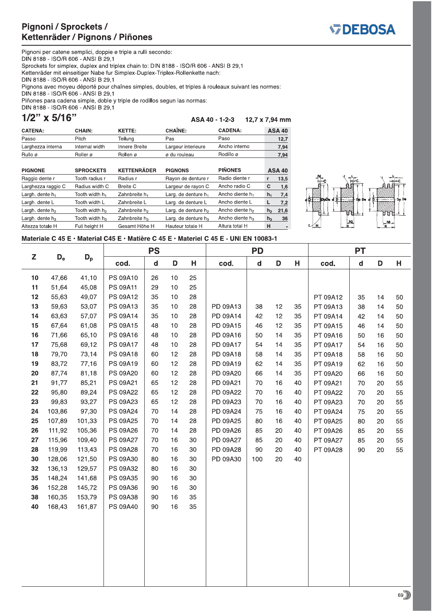Tooth width h<sub>2</sub>

Tooth width h<sub>3</sub>

Full height H



Pignoni per catene semplici, doppie e triple a rulli secondo: DIN 8188 - ISO/R 606 - ANSI B 29,1 Sprockets for simplex, duplex and triplex chain to: DIN 8188 - ISO/R 606 - ANSI B 29,1 Kettenräder mit einseitiger Nabe fur Simplex-Duplex-Triplex-Rollenkette nach: DIN 8188 - ISO/R 606 - ANSI B 29.1 Pignons avec moyeu déporté pour chaînes simples, doubles, et triples à rouleaux suivant les normes: DIN 8188 - ISO/R 606 - ANSI B 29,1 Piñones para cadena simple, doble y triple de rodillos segun las normas: DIN 8188 - ISO/R 606 - ANSI B 29,1

 $1/2$ " x 5/16"

Largh. dente  $h_2$ 

Largh. dente  $h_3$ 

Altezza totale H

ASA 40 - 1-2-3 12,7 x 7,94 mm

Ancho diente h<sub>2</sub>

Ancho diente h<sub>3</sub>

Altura total H

 $h<sub>2</sub>$  $21,6$ 

 $h_3$ 

 $\,$  H

 $36$ 

| <b>CATENA:</b>     | <b>CHAIN:</b>              | KETTE:                    | <b>CHAÎNE:</b>                  | <b>CADENA:</b>              |       | <b>ASA 40</b> |
|--------------------|----------------------------|---------------------------|---------------------------------|-----------------------------|-------|---------------|
| Passo              | Pitch                      | Teilung                   | Pas                             | Paso                        |       | 12,7          |
| Larghezza interna  | Internal width             | Innere Breite             | Largeur interieure              | Ancho interno               |       | 7,94          |
| Rullo ø            | Roller ø                   | Rollen ø                  | ø du rouleau                    | Rodillo ø                   |       | 7,94          |
|                    |                            |                           |                                 |                             |       |               |
| <b>PIGNONE</b>     | <b>SPROCKETS</b>           | <b>KETTENRÄDER</b>        | <b>PIGNONS</b>                  | <b>PIÑONES</b>              |       | <b>ASA 40</b> |
|                    |                            |                           |                                 |                             |       |               |
| Raggio dente r     | Tooth radius r             | Radius r                  | Rayon de denture r              | Radio diente r              | r     | 13,5          |
| Larghezza raggio C | Radius width C             | Breite C                  | Largeur de rayon C              | Ancho radio C               | с     | 1.6           |
| Largh. dente $h_1$ | Tooth width h <sub>1</sub> | Zahnbreite h <sub>1</sub> | Larg. de denture h <sub>1</sub> | Ancho diente h <sub>1</sub> | $h_1$ | 7,4           |

Larg. de denture  $h_2$ 

Larg. de denture  $h_3$ 

Hauteur totale H



### Materiale C 45 E · Material C45 E · Matière C 45 E · Materiel C 45 E - UNI EN 10083-1

Zahnbreite h<sub>2</sub>

Zahnbreite h<sub>3</sub>

Gesamt Höhe H

|    |         |        | <b>PS</b> |              | <b>PD</b> |    |          |             | <b>PT</b> |    |          |             |    |    |
|----|---------|--------|-----------|--------------|-----------|----|----------|-------------|-----------|----|----------|-------------|----|----|
| Z  | $D_{e}$ | $D_p$  | cod.      | $\mathsf{d}$ | D         | Н  | cod.     | $\mathbf d$ | D         | Н  | cod.     | $\mathbf d$ | D  | н  |
| 10 | 47,66   | 41,10  | PS 09A10  | 26           | 10        | 25 |          |             |           |    |          |             |    |    |
| 11 | 51,64   | 45,08  | PS 09A11  | 29           | 10        | 25 |          |             |           |    |          |             |    |    |
| 12 | 55,63   | 49,07  | PS 09A12  | 35           | 10        | 28 |          |             |           |    | PT 09A12 | 35          | 14 | 50 |
| 13 | 59,63   | 53,07  | PS 09A13  | 35           | 10        | 28 | PD 09A13 | 38          | 12        | 35 | PT 09A13 | 38          | 14 | 50 |
| 14 | 63,63   | 57,07  | PS 09A14  | 35           | 10        | 28 | PD 09A14 | 42          | 12        | 35 | PT 09A14 | 42          | 14 | 50 |
| 15 | 67,64   | 61,08  | PS 09A15  | 48           | 10        | 28 | PD 09A15 | 46          | 12        | 35 | PT 09A15 | 46          | 14 | 50 |
| 16 | 71,66   | 65,10  | PS 09A16  | 48           | 10        | 28 | PD 09A16 | 50          | 14        | 35 | PT 09A16 | 50          | 16 | 50 |
| 17 | 75,68   | 69,12  | PS 09A17  | 48           | 10        | 28 | PD 09A17 | 54          | 14        | 35 | PT 09A17 | 54          | 16 | 50 |
| 18 | 79,70   | 73,14  | PS 09A18  | 60           | 12        | 28 | PD 09A18 | 58          | 14        | 35 | PT 09A18 | 58          | 16 | 50 |
| 19 | 83,72   | 77,16  | PS 09A19  | 60           | 12        | 28 | PD 09A19 | 62          | 14        | 35 | PT 09A19 | 62          | 16 | 50 |
| 20 | 87,74   | 81,18  | PS 09A20  | 60           | 12        | 28 | PD 09A20 | 66          | 14        | 35 | PT 09A20 | 66          | 16 | 50 |
| 21 | 91,77   | 85,21  | PS 09A21  | 65           | 12        | 28 | PD 09A21 | 70          | 16        | 40 | PT 09A21 | 70          | 20 | 55 |
| 22 | 95,80   | 89,24  | PS 09A22  | 65           | 12        | 28 | PD 09A22 | 70          | 16        | 40 | PT 09A22 | 70          | 20 | 55 |
| 23 | 99,83   | 93,27  | PS 09A23  | 65           | 12        | 28 | PD 09A23 | 70          | 16        | 40 | PT 09A23 | 70          | 20 | 55 |
| 24 | 103,86  | 97,30  | PS 09A24  | 70           | 14        | 28 | PD 09A24 | 75          | 16        | 40 | PT 09A24 | 75          | 20 | 55 |
| 25 | 107,89  | 101,33 | PS 09A25  | 70           | 14        | 28 | PD 09A25 | 80          | 16        | 40 | PT 09A25 | 80          | 20 | 55 |
| 26 | 111,92  | 105,36 | PS 09A26  | $70\,$       | 14        | 28 | PD 09A26 | 85          | 20        | 40 | PT 09A26 | 85          | 20 | 55 |
| 27 | 115,96  | 109,40 | PS 09A27  | 70           | 16        | 30 | PD 09A27 | 85          | $20\,$    | 40 | PT 09A27 | 85          | 20 | 55 |
| 28 | 119,99  | 113,43 | PS 09A28  | $70\,$       | 16        | 30 | PD 09A28 | 90          | 20        | 40 | PT 09A28 | 90          | 20 | 55 |
| 30 | 128,06  | 121,50 | PS 09A30  | 80           | 16        | 30 | PD 09A30 | 100         | 20        | 40 |          |             |    |    |
| 32 | 136,13  | 129,57 | PS 09A32  | 80           | 16        | 30 |          |             |           |    |          |             |    |    |
| 35 | 148,24  | 141,68 | PS 09A35  | 90           | 16        | 30 |          |             |           |    |          |             |    |    |
| 36 | 152,28  | 145,72 | PS 09A36  | 90           | 16        | 30 |          |             |           |    |          |             |    |    |
| 38 | 160,35  | 153,79 | PS 09A38  | 90           | 16        | 35 |          |             |           |    |          |             |    |    |
| 40 | 168,43  | 161,87 | PS 09A40  | 90           | 16        | 35 |          |             |           |    |          |             |    |    |
|    |         |        |           |              |           |    |          |             |           |    |          |             |    |    |
|    |         |        |           |              |           |    |          |             |           |    |          |             |    |    |
|    |         |        |           |              |           |    |          |             |           |    |          |             |    |    |
|    |         |        |           |              |           |    |          |             |           |    |          |             |    |    |
|    |         |        |           |              |           |    |          |             |           |    |          |             |    |    |
|    |         |        |           |              |           |    |          |             |           |    |          |             |    |    |
|    |         |        |           |              |           |    |          |             |           |    |          |             |    |    |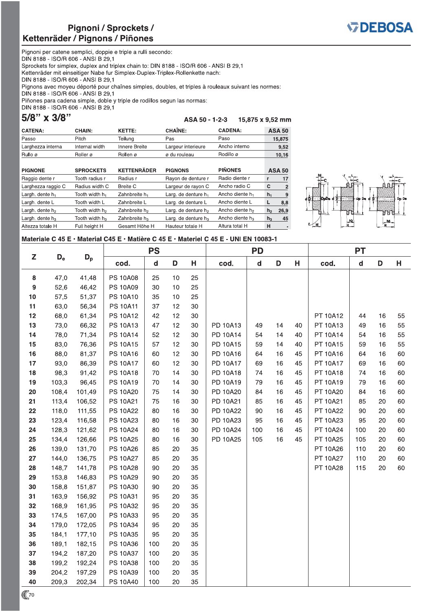

Pignoni per catene semplici, doppie e triple a rulli secondo: DIN 8188 - ISO/R 606 - ANSI B 29,1 Sprockets for simplex, duplex and triplex chain to: DIN 8188 - ISO/R 606 - ANSI B 29,1 Kettenräder mit einseitiger Nabe fur Simplex-Duplex-Triplex-Rollenkette nach: DIN 8188 - ISO/R 606 - ANSI B 29,1 Pignons avec moyeu déporté pour chaînes simples, doubles, et triples à rouleaux suivant les normes: DIN 8188 - ISO/R 606 - ANSI B 29,1 Piñones para cadena simple, doble y triple de rodillos segun las normas: DIN 8188 - ISO/R 606 - ANSI B 29,1

5/8" x 3/8"

ASA 50 - 1-2-3 15,875 x 9,52 mm

| <b>CATENA:</b>    | CHAIN:         | <b>KETTE:</b>      | <b>CHAÎNE:</b>     | <b>CADENA:</b> | <b>ASA 50</b> |
|-------------------|----------------|--------------------|--------------------|----------------|---------------|
| Passo             | Pitch          | Teilung            | Pas                | Paso           | 15,875        |
| Larghezza interna | Internal width | Innere Breite      | Largeur interieure | Ancho interno  | 9,52          |
| Rullo ø           | Roller ø       | Rollen ø           | ø du rouleau       | Rodillo ø      | 10,16         |
| <b>DIOMONE</b>    | CDDOOVETO      | <b>KETTENDÄDED</b> | <b>DIOMONIC</b>    | <b>DIÑONEC</b> | $A \cap A$    |

| <b>PIGNONE</b>              | <b>SPROCKETS</b>           | <b>KETTENRÄDER</b>        | <b>PIGNONS</b>                  | <b>PINONES</b>              |                | <b>ASA 50</b>            |
|-----------------------------|----------------------------|---------------------------|---------------------------------|-----------------------------|----------------|--------------------------|
| Raggio dente r              | Tooth radius r             | Radius r                  | Rayon de denture r              | Radio diente r              | r              | 17                       |
| Larghezza raggio C          | Radius width C             | <b>Breite C</b>           | Largeur de rayon C              | Ancho radio C               | c              | 2                        |
| Largh. dente $h_1$          | Tooth width h <sub>1</sub> | Zahnbreite h <sub>1</sub> | Larg. de denture h <sub>1</sub> | Ancho diente h <sub>1</sub> | h <sub>1</sub> | 9                        |
| Largh. dente L              | Tooth width L              | Zahnbreite L              | Larg. de denture L              | Ancho diente L              |                | 8,8                      |
| Largh. dente h <sub>2</sub> | Tooth width h <sub>2</sub> | Zahnbreite h <sub>2</sub> | Larg. de denture h <sub>2</sub> | Ancho diente h <sub>2</sub> | h <sub>2</sub> | 26,9                     |
| Largh. dente $h_3$          | Tooth width h <sub>3</sub> | Zahnbreite $h_3$          | Larg. de denture h <sub>3</sub> | Ancho diente h <sub>3</sub> | $h_3$          | 45                       |
| Altezza totale H            | Full height H              | Gesamt Höhe H             | Hauteur totale H                | Altura total H              | н              | $\overline{\phantom{a}}$ |



#### Materiale C 45 E · Material C45 E · Matière C 45 E · Materiel C 45 E - UNI EN 10083-1

|                  |       |         |                 | <b>PS</b> |    |    | <b>PD</b>       |              |    |    | <b>PT</b> |                             |    |    |
|------------------|-------|---------|-----------------|-----------|----|----|-----------------|--------------|----|----|-----------|-----------------------------|----|----|
| Z                | $D_e$ | $D_{p}$ | cod.            | ${\sf d}$ | D  | Н  | cod.            | $\mathsf{d}$ | D  | Н  | cod.      | $\operatorname{\mathsf{d}}$ | D  | н. |
| ${\bf 8}$        | 47,0  | 41,48   | <b>PS 10A08</b> | 25        | 10 | 25 |                 |              |    |    |           |                             |    |    |
| $\boldsymbol{9}$ | 52,6  | 46,42   | PS 10A09        | 30        | 10 | 25 |                 |              |    |    |           |                             |    |    |
| 10               | 57,5  | 51,37   | <b>PS 10A10</b> | 35        | 10 | 25 |                 |              |    |    |           |                             |    |    |
| 11               | 63,0  | 56,34   | <b>PS 10A11</b> | 37        | 12 | 30 |                 |              |    |    |           |                             |    |    |
| 12               | 68,0  | 61,34   | PS 10A12        | 42        | 12 | 30 |                 |              |    |    | PT 10A12  | 44                          | 16 | 55 |
| 13               | 73,0  | 66,32   | <b>PS 10A13</b> | 47        | 12 | 30 | PD 10A13        | 49           | 14 | 40 | PT 10A13  | 49                          | 16 | 55 |
| 14               | 78,0  | 71,34   | <b>PS 10A14</b> | 52        | 12 | 30 | PD 10A14        | 54           | 14 | 40 | PT 10A14  | 54                          | 16 | 55 |
| 15               | 83,0  | 76,36   | <b>PS 10A15</b> | 57        | 12 | 30 | PD 10A15        | 59           | 14 | 40 | PT 10A15  | 59                          | 16 | 55 |
| 16               | 88,0  | 81,37   | <b>PS 10A16</b> | 60        | 12 | 30 | PD 10A16        | 64           | 16 | 45 | PT 10A16  | 64                          | 16 | 60 |
| 17               | 93,0  | 86,39   | <b>PS 10A17</b> | 60        | 12 | 30 | PD 10A17        | 69           | 16 | 45 | PT 10A17  | 69                          | 16 | 60 |
| 18               | 98,3  | 91,42   | <b>PS 10A18</b> | 70        | 14 | 30 | <b>PD 10A18</b> | 74           | 16 | 45 | PT 10A18  | 74                          | 16 | 60 |
| 19               | 103,3 | 96,45   | <b>PS 10A19</b> | 70        | 14 | 30 | PD 10A19        | 79           | 16 | 45 | PT 10A19  | 79                          | 16 | 60 |
| $20\,$           | 108,4 | 101,49  | <b>PS 10A20</b> | 75        | 14 | 30 | PD 10A20        | 84           | 16 | 45 | PT 10A20  | 84                          | 16 | 60 |
| 21               | 113,4 | 106,52  | PS 10A21        | 75        | 16 | 30 | PD 10A21        | 85           | 16 | 45 | PT 10A21  | 85                          | 20 | 60 |
| 22               | 118,0 | 111,55  | <b>PS 10A22</b> | 80        | 16 | 30 | PD 10A22        | 90           | 16 | 45 | PT 10A22  | 90                          | 20 | 60 |
| 23               | 123,4 | 116,58  | PS 10A23        | 80        | 16 | 30 | PD 10A23        | 95           | 16 | 45 | PT 10A23  | 95                          | 20 | 60 |
| 24               | 128,3 | 121,62  | <b>PS 10A24</b> | 80        | 16 | 30 | PD 10A24        | 100          | 16 | 45 | PT 10A24  | 100                         | 20 | 60 |
| 25               | 134,4 | 126,66  | <b>PS 10A25</b> | 80        | 16 | 30 | PD 10A25        | 105          | 16 | 45 | PT 10A25  | 105                         | 20 | 60 |
| 26               | 139,0 | 131,70  | <b>PS 10A26</b> | 85        | 20 | 35 |                 |              |    |    | PT 10A26  | 110                         | 20 | 60 |
| 27               | 144,0 | 136,75  | <b>PS 10A27</b> | 85        | 20 | 35 |                 |              |    |    | PT 10A27  | 110                         | 20 | 60 |
| 28               | 148,7 | 141,78  | <b>PS 10A28</b> | 90        | 20 | 35 |                 |              |    |    | PT 10A28  | 115                         | 20 | 60 |
| 29               | 153,8 | 146,83  | <b>PS 10A29</b> | 90        | 20 | 35 |                 |              |    |    |           |                             |    |    |
| 30               | 158,8 | 151,87  | PS 10A30        | 90        | 20 | 35 |                 |              |    |    |           |                             |    |    |
| 31               | 163,9 | 156,92  | PS 10A31        | 95        | 20 | 35 |                 |              |    |    |           |                             |    |    |
| 32               | 168,9 | 161,95  | PS 10A32        | 95        | 20 | 35 |                 |              |    |    |           |                             |    |    |
| 33               | 174,5 | 167,00  | PS 10A33        | 95        | 20 | 35 |                 |              |    |    |           |                             |    |    |
| 34               | 179,0 | 172,05  | PS 10A34        | 95        | 20 | 35 |                 |              |    |    |           |                             |    |    |
| 35               | 184,1 | 177,10  | <b>PS 10A35</b> | 95        | 20 | 35 |                 |              |    |    |           |                             |    |    |
| 36               | 189,1 | 182,15  | <b>PS 10A36</b> | 100       | 20 | 35 |                 |              |    |    |           |                             |    |    |
| 37               | 194,2 | 187,20  | <b>PS 10A37</b> | 100       | 20 | 35 |                 |              |    |    |           |                             |    |    |
| 38               | 199,2 | 192,24  | <b>PS 10A38</b> | 100       | 20 | 35 |                 |              |    |    |           |                             |    |    |
| 39               | 204,2 | 197,29  | PS 10A39        | 100       | 20 | 35 |                 |              |    |    |           |                             |    |    |
| 40               | 209,3 | 202,34  | <b>PS 10A40</b> | 100       | 20 | 35 |                 |              |    |    |           |                             |    |    |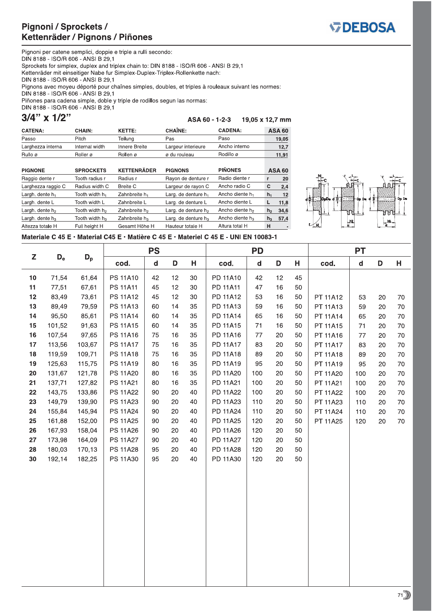

Pignoni per catene semplici, doppie e triple a rulli secondo:<br>DIN 8188 - ISO/R 606 - ANSI B 29,1 Sprockets for simplex, duplex and triplex chain to: DIN 8188 - ISO/R 606 - ANSI B 29,1 Kettenräder mit einseitiger Nabe fur Simplex-Duplex-Triplex-Rollenkette nach: DIN 8188 - ISO/R 606 - ANSI B 29,1 Pignons avec moyeu déporté pour chaînes simples, doubles, et triples à rouleaux suivant les normes: DIN 8188 - ISO/R 606 - ANSI B 29,1 Piñones para cadena simple, doble y triple de rodillos segun las normas: DIN 8188 - ISO/R 606 - ANSI B 29,1

|  | 3/4" x 1/2" |  |
|--|-------------|--|
|  |             |  |
|  |             |  |

ASA 60 - 1-2-3 19,05 x 12,7 mm

| <b>CATENA:</b>     | <b>CHAIN:</b>              | <b>KETTE:</b>             | <b>CHAINE:</b>         | <b>CADENA:</b>              |                | <b>ASA 60</b>            |
|--------------------|----------------------------|---------------------------|------------------------|-----------------------------|----------------|--------------------------|
| Passo              | Pitch                      | Teilung                   | Pas                    | Paso                        |                | 19,05                    |
| Larghezza interna  | Internal width             | Innere Breite             | Largeur interieure     | Ancho interno               |                | 12,7                     |
| Rullo ø            | Roller ø                   | Rollen ø                  | ø du rouleau           | Rodillo ø                   |                | 11,91                    |
| <b>PIGNONE</b>     | <b>SPROCKETS</b>           | <b>KETTENRÄDER</b>        | <b>PIGNONS</b>         | <b>PIÑONES</b>              |                | <b>ASA 60</b>            |
| Raggio dente r     | Tooth radius r             | Radius r                  | Rayon de denture r     | Radio diente r              | r              | 20                       |
| Larghezza raggio C | Radius width C             | <b>Breite C</b>           | Largeur de rayon C     | Ancho radio C               | C              | 2,4                      |
| Largh. dente $h_1$ | Tooth width h <sub>1</sub> | Zahnbreite h <sub>1</sub> | Larg. de denture $h_1$ | Ancho diente h <sub>1</sub> | $h_1$          | 12                       |
| Largh. dente L     | Tooth width L              | Zahnbreite L              | Larg. de denture L     | Ancho diente L              | г              | 11,8                     |
| Largh. dente $h_2$ | Tooth width h <sub>2</sub> | Zahnbreite h <sub>2</sub> | Larg. de denture $h_2$ | Ancho diente h <sub>2</sub> | h <sub>2</sub> | 34,6                     |
| Largh. dente $h_3$ | Tooth width $h_3$          | Zahnbreite $h_3$          | Larg. de denture $h_3$ | Ancho diente h <sub>3</sub> | h <sub>3</sub> | 57,4                     |
| Altezza totale H   | Full height H              | Gesamt Höhe H             | Hauteur totale H       | Altura total H              | н              | $\overline{\phantom{a}}$ |



Materiale C 45 E · Material C45 E · Matière C 45 E · Materiel C 45 E - UNI EN 10083-1

|    |             |        |                 | <b>PS</b>                   |        |    |          | <b>PD</b>     |    |    |          | <b>PT</b>    |    |    |
|----|-------------|--------|-----------------|-----------------------------|--------|----|----------|---------------|----|----|----------|--------------|----|----|
| Z  | $D_{\rm e}$ | $D_p$  | cod.            | $\operatorname{\mathsf{d}}$ | D      | Н  | cod.     | ${\mathsf d}$ | D  | Н  | cod.     | $\mathsf{d}$ | D  | Н  |
| 10 | 71,54       | 61,64  | <b>PS 11A10</b> | 42                          | 12     | 30 | PD 11A10 | 42            | 12 | 45 |          |              |    |    |
| 11 | 77,51       | 67,61  | <b>PS 11A11</b> | 45                          | 12     | 30 | PD 11A11 | 47            | 16 | 50 |          |              |    |    |
| 12 | 83,49       | 73,61  | PS 11A12        | 45                          | 12     | 30 | PD 11A12 | 53            | 16 | 50 | PT 11A12 | 53           | 20 | 70 |
| 13 | 89,49       | 79,59  | PS 11A13        | 60                          | 14     | 35 | PD 11A13 | 59            | 16 | 50 | PT 11A13 | 59           | 20 | 70 |
| 14 | 95,50       | 85,61  | PS 11A14        | 60                          | 14     | 35 | PD 11A14 | 65            | 16 | 50 | PT 11A14 | 65           | 20 | 70 |
| 15 | 101,52      | 91,63  | PS 11A15        | 60                          | 14     | 35 | PD 11A15 | $71$          | 16 | 50 | PT 11A15 | 71           | 20 | 70 |
| 16 | 107,54      | 97,65  | PS 11A16        | 75                          | 16     | 35 | PD 11A16 | 77            | 20 | 50 | PT 11A16 | 77           | 20 | 70 |
| 17 | 113,56      | 103,67 | <b>PS 11A17</b> | 75                          | 16     | 35 | PD 11A17 | 83            | 20 | 50 | PT 11A17 | 83           | 20 | 70 |
| 18 | 119,59      | 109,71 | PS 11A18        | 75                          | 16     | 35 | PD 11A18 | 89            | 20 | 50 | PT 11A18 | 89           | 20 | 70 |
| 19 | 125,63      | 115,75 | PS 11A19        | 80                          | 16     | 35 | PD 11A19 | 95            | 20 | 50 | PT 11A19 | 95           | 20 | 70 |
| 20 | 131,67      | 121,78 | PS 11A20        | 80                          | 16     | 35 | PD 11A20 | 100           | 20 | 50 | PT 11A20 | 100          | 20 | 70 |
| 21 | 137,71      | 127,82 | <b>PS 11A21</b> | 80                          | 16     | 35 | PD 11A21 | 100           | 20 | 50 | PT 11A21 | 100          | 20 | 70 |
| 22 | 143,75      | 133,86 | <b>PS 11A22</b> | 90                          | 20     | 40 | PD 11A22 | 100           | 20 | 50 | PT 11A22 | 100          | 20 | 70 |
| 23 | 149,79      | 139,90 | PS 11A23        | 90                          | 20     | 40 | PD 11A23 | 110           | 20 | 50 | PT 11A23 | 110          | 20 | 70 |
| 24 | 155,84      | 145,94 | <b>PS 11A24</b> | 90                          | 20     | 40 | PD 11A24 | 110           | 20 | 50 | PT 11A24 | 110          | 20 | 70 |
| 25 | 161,88      | 152,00 | PS 11A25        | 90                          | 20     | 40 | PD 11A25 | 120           | 20 | 50 | PT 11A25 | 120          | 20 | 70 |
| 26 | 167,93      | 158,04 | PS 11A26        | 90                          | 20     | 40 | PD 11A26 | 120           | 20 | 50 |          |              |    |    |
| 27 | 173,98      | 164,09 | <b>PS 11A27</b> | 90                          | 20     | 40 | PD 11A27 | 120           | 20 | 50 |          |              |    |    |
| 28 | 180,03      | 170,13 | <b>PS 11A28</b> | 95                          | 20     | 40 | PD 11A28 | 120           | 20 | 50 |          |              |    |    |
| 30 | 192,14      | 182,25 | PS 11A30        | 95                          | $20\,$ | 40 | PD 11A30 | 120           | 20 | 50 |          |              |    |    |
|    |             |        |                 |                             |        |    |          |               |    |    |          |              |    |    |
|    |             |        |                 |                             |        |    |          |               |    |    |          |              |    |    |
|    |             |        |                 |                             |        |    |          |               |    |    |          |              |    |    |
|    |             |        |                 |                             |        |    |          |               |    |    |          |              |    |    |
|    |             |        |                 |                             |        |    |          |               |    |    |          |              |    |    |
|    |             |        |                 |                             |        |    |          |               |    |    |          |              |    |    |
|    |             |        |                 |                             |        |    |          |               |    |    |          |              |    |    |
|    |             |        |                 |                             |        |    |          |               |    |    |          |              |    |    |
|    |             |        |                 |                             |        |    |          |               |    |    |          |              |    |    |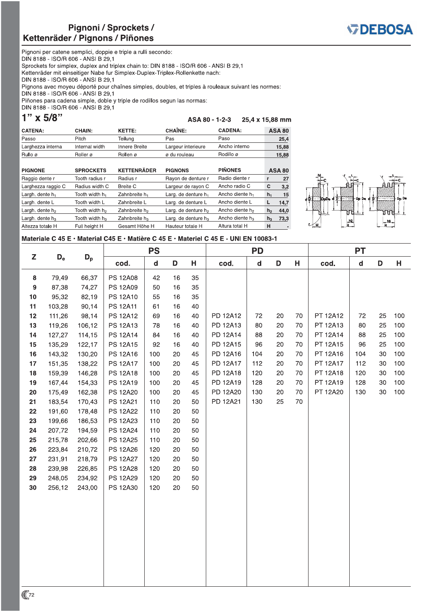CHAIN:

Tooth width h<sub>2</sub>

Tooth width h<sub>3</sub>

Full height H



Pignoni per catene semplici, doppie e triple a rulli secondo: DIN 8188 - ISO/R 606 - ANSI B 29,1 Sprockets for simplex, duplex and triplex chain to: DIN 8188 - ISO/R 606 - ANSI B 29,1 Kettenräder mit einseitiger Nabe fur Simplex-Duplex-Triplex-Rollenkette nach: DIN 8188 - ISO/R 606 - ANSI B 29.1 Pignons avec moyeu déporté pour chaînes simples, doubles, et triples à rouleaux suivant les normes: DIN 8188 - ISO/R 606 - ANSI B 29,1 Piñones para cadena simple, doble y triple de rodillos segun las normas: DIN 8188 - ISO/R 606 - ANSI B 29,1

 $1"$  x 5/8"

Largh. dente h<sub>2</sub>

Largh. dente  $h_3$ 

Altezza totale H

CATENA:

ASA 80 - 1-2-3 25,4 x 15,88 mm KETTE: **CHAÎNE: CADENA: ASA 80** 

Larg. de denture  $h_2$ 

Larg. de denture  $h_3$ 

Hauteur totale H

Ancho diente h<sub>2</sub>

Ancho diente h<sub>3</sub>

Altura total H

 $h<sub>2</sub>$ 

 $h<sub>3</sub>$  $73,3$ 

 $\mathsf H$ 

 $44,0$ 

| Passo              | Pitch                      | Teilung                   | Pas                             | Paso                        |       | 25,4          |
|--------------------|----------------------------|---------------------------|---------------------------------|-----------------------------|-------|---------------|
| Larghezza interna  | Internal width             | Innere Breite             | Largeur interieure              | Ancho interno               |       | 15,88         |
| Rullo ø            | Roller ø                   | Rollen ø                  | ø du rouleau                    | Rodillo ø                   |       | 15,88         |
|                    |                            |                           |                                 |                             |       |               |
| <b>PIGNONE</b>     | <b>SPROCKETS</b>           | <b>KETTENRÄDER</b>        | <b>PIGNONS</b>                  | <b>PIÑONES</b>              |       | <b>ASA 80</b> |
| Raggio dente r     | Tooth radius r             | Radius r                  | Rayon de denture r              | Radio diente r              | r     | 27            |
| Larghezza raggio C | Radius width C             | Breite C                  | Largeur de rayon C              | Ancho radio C               | C     | 3,2           |
| Largh. dente $h_1$ | Tooth width h <sub>1</sub> | Zahnbreite h <sub>1</sub> | Larg. de denture h <sub>1</sub> | Ancho diente h <sub>1</sub> | $h_1$ | 15            |
| Largh, dente L     | Tooth width L              | Zahnbreite L              | Larg. de denture L              | Ancho diente L              | L     | 14.7          |



### Materiale C 45 E · Material C45 E · Matière C 45 E · Materiel C 45 E - UNI EN 10083-1

Zahnbreite h<sub>2</sub>

Zahnbreite h<sub>3</sub>

Gesamt Höhe H

|                  |                           |        |                 | <b>PS</b> |    |    | <b>PD</b> |             |    | <b>PT</b> |          |             |    |     |
|------------------|---------------------------|--------|-----------------|-----------|----|----|-----------|-------------|----|-----------|----------|-------------|----|-----|
| Z                | $\mathsf{D}_{\mathsf{e}}$ | $D_p$  | cod.            | d         | D  | н  | cod.      | $\mathbf d$ | D  | н         | cod.     | $\mathbf d$ | D  | н   |
| 8                | 79,49                     | 66,37  | <b>PS 12A08</b> | 42        | 16 | 35 |           |             |    |           |          |             |    |     |
| $\boldsymbol{9}$ | 87,38                     | 74,27  | PS 12A09        | 50        | 16 | 35 |           |             |    |           |          |             |    |     |
| 10               | 95,32                     | 82,19  | PS 12A10        | 55        | 16 | 35 |           |             |    |           |          |             |    |     |
| 11               | 103,28                    | 90,14  | <b>PS 12A11</b> | 61        | 16 | 40 |           |             |    |           |          |             |    |     |
| 12               | 111,26                    | 98,14  | PS 12A12        | 69        | 16 | 40 | PD 12A12  | 72          | 20 | 70        | PT 12A12 | 72          | 25 | 100 |
| 13               | 119,26                    | 106,12 | PS 12A13        | 78        | 16 | 40 | PD 12A13  | 80          | 20 | 70        | PT 12A13 | 80          | 25 | 100 |
| 14               | 127,27                    | 114,15 | PS 12A14        | 84        | 16 | 40 | PD 12A14  | 88          | 20 | 70        | PT 12A14 | 88          | 25 | 100 |
| 15               | 135,29                    | 122,17 | PS 12A15        | 92        | 16 | 40 | PD 12A15  | 96          | 20 | 70        | PT 12A15 | 96          | 25 | 100 |
| 16               | 143,32                    | 130,20 | PS 12A16        | 100       | 20 | 45 | PD 12A16  | 104         | 20 | 70        | PT 12A16 | 104         | 30 | 100 |
| 17               | 151,35                    | 138,22 | PS 12A17        | 100       | 20 | 45 | PD 12A17  | 112         | 20 | 70        | PT 12A17 | 112         | 30 | 100 |
| 18               | 159,39                    | 146,28 | PS 12A18        | 100       | 20 | 45 | PD 12A18  | 120         | 20 | 70        | PT 12A18 | 120         | 30 | 100 |
| 19               | 167,44                    | 154,33 | PS 12A19        | 100       | 20 | 45 | PD 12A19  | 128         | 20 | 70        | PT 12A19 | 128         | 30 | 100 |
| $20\,$           | 175,49                    | 162,38 | PS 12A20        | 100       | 20 | 45 | PD 12A20  | 130         | 20 | 70        | PT 12A20 | 130         | 30 | 100 |
| 21               | 183,54                    | 170,43 | PS 12A21        | 110       | 20 | 50 | PD 12A21  | 130         | 25 | 70        |          |             |    |     |
| 22               | 191,60                    | 178,48 | <b>PS 12A22</b> | 110       | 20 | 50 |           |             |    |           |          |             |    |     |
| 23               | 199,66                    | 186,53 | <b>PS 12A23</b> | 110       | 20 | 50 |           |             |    |           |          |             |    |     |
| 24               | 207,72                    | 194,59 | PS 12A24        | 110       | 20 | 50 |           |             |    |           |          |             |    |     |
| 25               | 215,78                    | 202,66 | PS 12A25        | 110       | 20 | 50 |           |             |    |           |          |             |    |     |
| 26               | 223,84                    | 210,72 | PS 12A26        | 120       | 20 | 50 |           |             |    |           |          |             |    |     |
| 27               | 231,91                    | 218,79 | <b>PS 12A27</b> | 120       | 20 | 50 |           |             |    |           |          |             |    |     |
| 28               | 239,98                    | 226,85 | <b>PS 12A28</b> | 120       | 20 | 50 |           |             |    |           |          |             |    |     |
| 29               | 248,05                    | 234,92 | <b>PS 12A29</b> | 120       | 20 | 50 |           |             |    |           |          |             |    |     |
| 30               | 256,12                    | 243,00 | PS 12A30        | 120       | 20 | 50 |           |             |    |           |          |             |    |     |
|                  |                           |        |                 |           |    |    |           |             |    |           |          |             |    |     |
|                  |                           |        |                 |           |    |    |           |             |    |           |          |             |    |     |
|                  |                           |        |                 |           |    |    |           |             |    |           |          |             |    |     |
|                  |                           |        |                 |           |    |    |           |             |    |           |          |             |    |     |
|                  |                           |        |                 |           |    |    |           |             |    |           |          |             |    |     |
|                  |                           |        |                 |           |    |    |           |             |    |           |          |             |    |     |
|                  |                           |        |                 |           |    |    |           |             |    |           |          |             |    |     |
|                  |                           |        |                 |           |    |    |           |             |    |           |          |             |    |     |
|                  |                           |        |                 |           |    |    |           |             |    |           |          |             |    |     |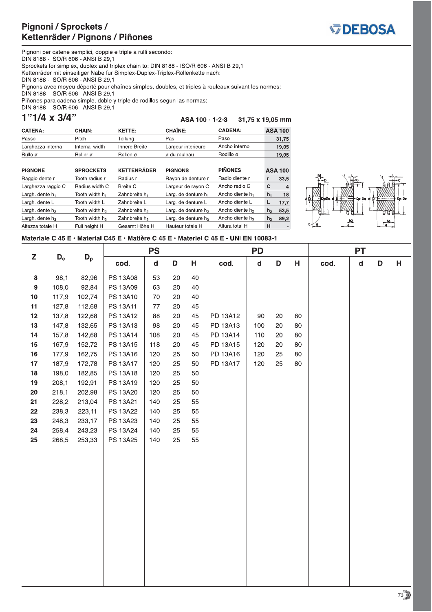

Pignoni per catene semplici, doppie e triple a rulli secondo: DIN 8188 - ISO/R 606 - ANSI B 29,1 Sprockets for simplex, duplex and triplex chain to: DIN 8188 - ISO/R 606 - ANSI B 29,1 Kettenräder mit einseitiger Nabe fur Simplex-Duplex-Triplex-Rollenkette nach: DIN 8188 - ISO/R 606 - ANSI B 29.1 Pignons avec moyeu déporté pour chaînes simples, doubles, et triples à rouleaux suivant les normes: DIN 8188 - ISO/R 606 - ANSI B 29,1 Piñones para cadena simple, doble y triple de rodillos segun las normas: DIN 8188 - ISO/R 606 - ANSI B 29,1

## $1"1/4 \times 3/4"$

ASA 100 - 1-2-3 31,75 x 19,05 mm

| <b>CATENA:</b>    | CHAIN:         | <b>KETTE:</b> | <b>CHAINE:</b>     | <b>CADENA:</b> | <b>ASA 100</b> |
|-------------------|----------------|---------------|--------------------|----------------|----------------|
| Passo             | Pitch          | Teilung       | Pas                | Paso           | 31,75          |
| Larghezza interna | Internal width | Innere Breite | Largeur interieure | Ancho interno  | 19,05          |
| Rullo ø           | Roller ø       | Rollen ø      | ø du rouleau       | Rodillo ø      | 19,05          |

| <b>PIGNONE</b>     | <b>SPROCKETS</b>           | <b>KETTENRÄDER</b>        | <b>PIGNONS</b>                  | <b>PIÑONES</b>              |                | <b>ASA 100</b> |
|--------------------|----------------------------|---------------------------|---------------------------------|-----------------------------|----------------|----------------|
| Raggio dente r     | Tooth radius r             | Radius r                  | Rayon de denture r              | Radio diente r              |                | 33,5           |
| Larghezza raggio C | Radius width C             | Breite C                  | Largeur de rayon C              | Ancho radio C               | C              | $\overline{4}$ |
| Largh. dente $h_1$ | Tooth width h <sub>1</sub> | Zahnbreite h <sub>1</sub> | Larg. de denture h <sub>1</sub> | Ancho diente h <sub>1</sub> | $h_1$          | 18             |
| Largh. dente L     | Tooth width L              | Zahnbreite L              | Larg. de denture L              | Ancho diente L              | L              | 17.7           |
| Largh. dente $h_2$ | Tooth width h <sub>2</sub> | Zahnbreite h <sub>2</sub> | Larg. de denture h <sub>2</sub> | Ancho diente h <sub>2</sub> | h <sub>2</sub> | 53,5           |
| Largh. dente $h_3$ | Tooth width h <sub>3</sub> | Zahnbreite h <sub>3</sub> | Larg. de denture h <sub>3</sub> | Ancho diente h <sub>3</sub> | $h_3$          | 89,2           |
| Altezza totale H   | Full height H              | Gesamt Höhe H             | Hauteur totale H                | Altura total H              | н              |                |



## Materiale C 45 E · Material C45 E · Matière C 45 E · Materiel C 45 E - UNI EN 10083-1

|           |                           |        |                 | <b>PS</b><br><b>PD</b> |        | <b>PT</b> |          |              |    |    |      |              |   |   |
|-----------|---------------------------|--------|-----------------|------------------------|--------|-----------|----------|--------------|----|----|------|--------------|---|---|
| Z         | $\mathsf{D}_{\mathsf{e}}$ | $D_p$  | cod.            | $\mathsf{d}$           | D      | н         | cod.     | $\mathsf{d}$ | D  | н  | cod. | $\mathsf{d}$ | D | н |
| ${\bf 8}$ | 98,1                      | 82,96  | <b>PS 13A08</b> | 53                     | $20\,$ | 40        |          |              |    |    |      |              |   |   |
| 9         | 108,0                     | 92,84  | PS 13A09        | 63                     | 20     | 40        |          |              |    |    |      |              |   |   |
| 10        | 117,9                     | 102,74 | PS 13A10        | 70                     | 20     | 40        |          |              |    |    |      |              |   |   |
| 11        | 127,8                     | 112,68 | PS 13A11        | 77                     | 20     | 45        |          |              |    |    |      |              |   |   |
| 12        | 137,8                     | 122,68 | PS 13A12        | 88                     | $20\,$ | 45        | PD 13A12 | $90\,$       | 20 | 80 |      |              |   |   |
| 13        | 147,8                     | 132,65 | PS 13A13        | 98                     | 20     | 45        | PD 13A13 | 100          | 20 | 80 |      |              |   |   |
| 14        | 157,8                     | 142,68 | PS 13A14        | 108                    | 20     | 45        | PD 13A14 | 110          | 20 | 80 |      |              |   |   |
| 15        | 167,9                     | 152,72 | <b>PS 13A15</b> | 118                    | 20     | 45        | PD 13A15 | 120          | 20 | 80 |      |              |   |   |
| 16        | 177,9                     | 162,75 | PS 13A16        | 120                    | 25     | 50        | PD 13A16 | 120          | 25 | 80 |      |              |   |   |
| 17        | 187,9                     | 172,78 | <b>PS 13A17</b> | 120                    | 25     | 50        | PD 13A17 | 120          | 25 | 80 |      |              |   |   |
| 18        | 198,0                     | 182,85 | PS 13A18        | 120                    | 25     | 50        |          |              |    |    |      |              |   |   |
| 19        | 208,1                     | 192,91 | PS 13A19        | 120                    | 25     | 50        |          |              |    |    |      |              |   |   |
| 20        | 218,1                     | 202,98 | PS 13A20        | 120                    | 25     | 50        |          |              |    |    |      |              |   |   |
| 21        | 228,2                     | 213,04 | PS 13A21        | 140                    | 25     | 55        |          |              |    |    |      |              |   |   |
| 22        | 238,3                     | 223,11 | <b>PS 13A22</b> | 140                    | 25     | 55        |          |              |    |    |      |              |   |   |
| 23        | 248,3                     | 233,17 | PS 13A23        | 140                    | 25     | 55        |          |              |    |    |      |              |   |   |
| 24        | 258,4                     | 243,23 | PS 13A24        | 140                    | 25     | 55        |          |              |    |    |      |              |   |   |
| 25        | 268,5                     | 253,33 | PS 13A25        | 140                    | 25     | 55        |          |              |    |    |      |              |   |   |
|           |                           |        |                 |                        |        |           |          |              |    |    |      |              |   |   |
|           |                           |        |                 |                        |        |           |          |              |    |    |      |              |   |   |
|           |                           |        |                 |                        |        |           |          |              |    |    |      |              |   |   |
|           |                           |        |                 |                        |        |           |          |              |    |    |      |              |   |   |
|           |                           |        |                 |                        |        |           |          |              |    |    |      |              |   |   |
|           |                           |        |                 |                        |        |           |          |              |    |    |      |              |   |   |
|           |                           |        |                 |                        |        |           |          |              |    |    |      |              |   |   |
|           |                           |        |                 |                        |        |           |          |              |    |    |      |              |   |   |
|           |                           |        |                 |                        |        |           |          |              |    |    |      |              |   |   |
|           |                           |        |                 |                        |        |           |          |              |    |    |      |              |   |   |
|           |                           |        |                 |                        |        |           |          |              |    |    |      |              |   |   |
|           |                           |        |                 |                        |        |           |          |              |    |    |      |              |   |   |
|           |                           |        |                 |                        |        |           |          |              |    |    |      |              |   |   |
|           |                           |        |                 |                        |        |           |          |              |    |    |      |              |   |   |